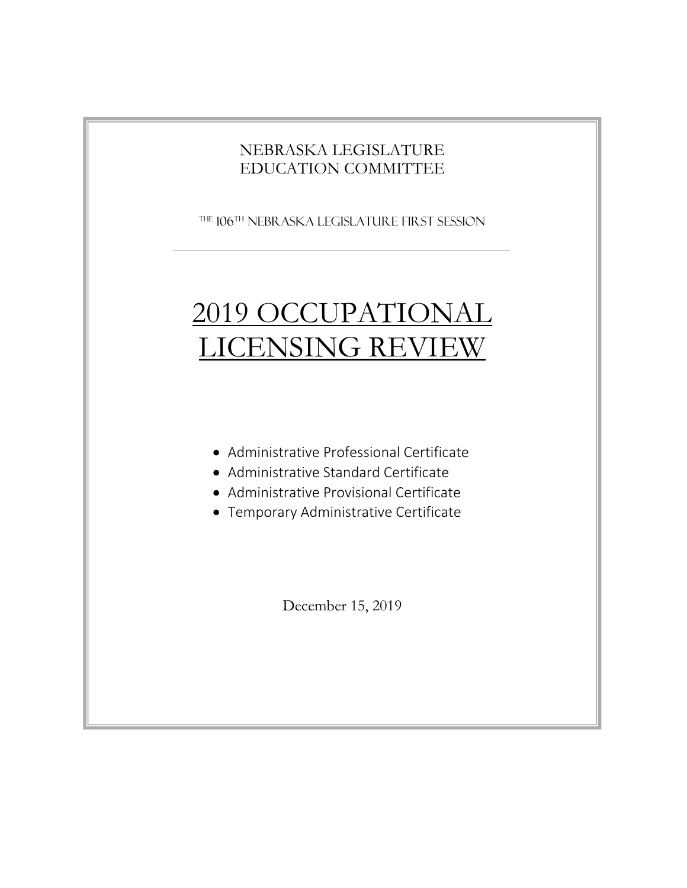### NEBRASKA LEGISLATURE EDUCATION COMMITTEE

The 106th Nebraska Legislature FIRST SESSION

# 2019 OCCUPATIONAL LICENSING REVIEW

- Administrative Professional Certificate
- Administrative Standard Certificate
- Administrative Provisional Certificate
- Temporary Administrative Certificate

December 15, 2019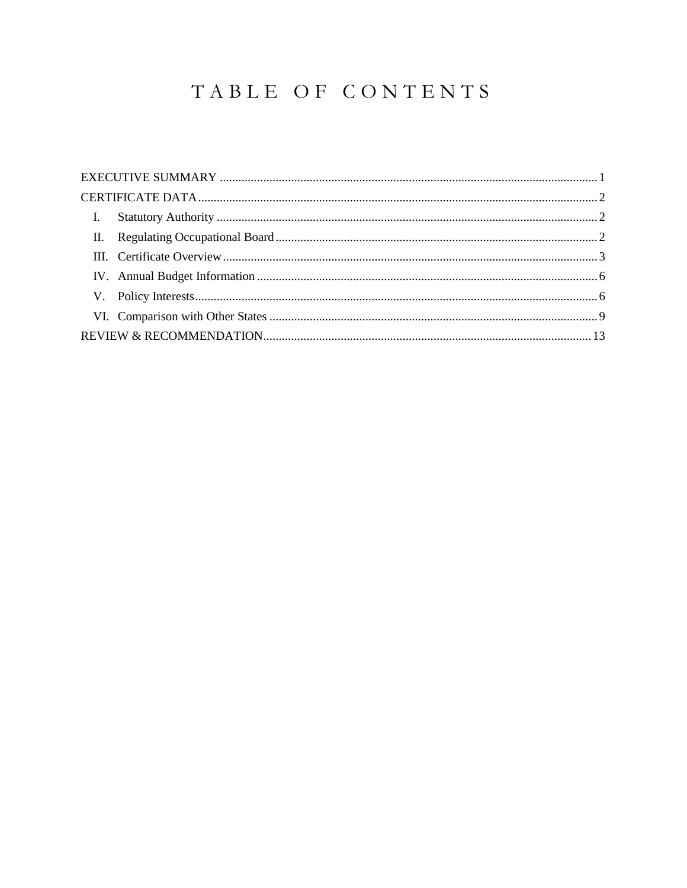## TABLE OF CONTENTS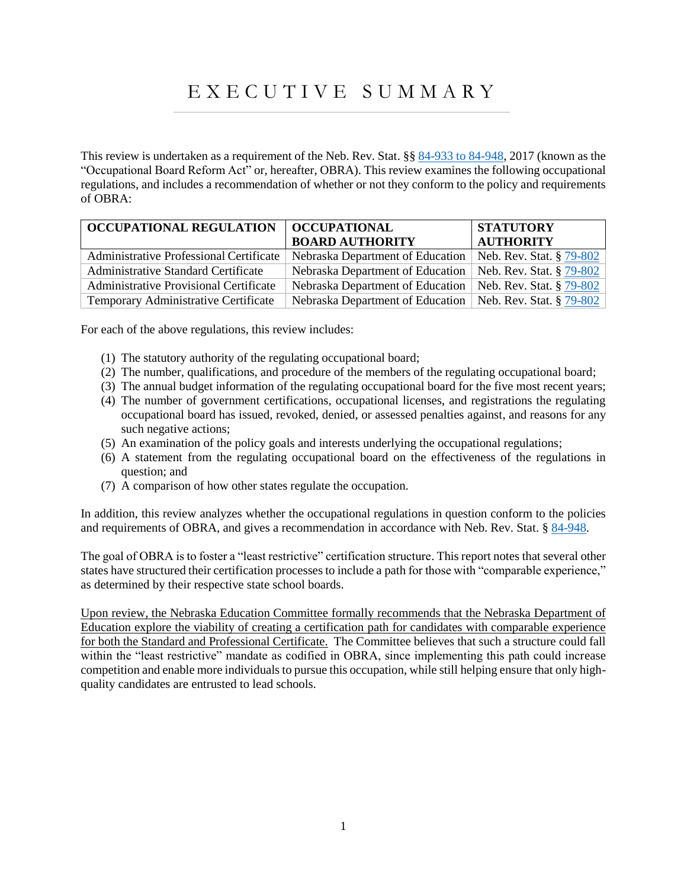## E X E C U T I V E S U M M A R Y

<span id="page-3-0"></span>This review is undertaken as a requirement of the Neb. Rev. Stat. §§ 84-933 [to 84-948,](https://nebraskalegislature.gov/laws/display_html.php?begin_section=84-933&end_section=84-948) 2017 (known as the "Occupational Board Reform Act" or, hereafter, OBRA). This review examines the following occupational regulations, and includes a recommendation of whether or not they conform to the policy and requirements of OBRA:

| <b>OCCUPATIONAL REGULATION</b><br>  OCCUPATIONAL |                                                             | <b>STATUTORY</b>         |
|--------------------------------------------------|-------------------------------------------------------------|--------------------------|
|                                                  | <b>BOARD AUTHORITY</b>                                      | <b>AUTHORITY</b>         |
| Administrative Professional Certificate          | Nebraska Department of Education                            | Neb. Rev. Stat. § 79-802 |
| <b>Administrative Standard Certificate</b>       | Nebraska Department of Education                            | Neb. Rev. Stat. § 79-802 |
| <b>Administrative Provisional Certificate</b>    | Nebraska Department of Education                            | Neb. Rev. Stat. § 79-802 |
| Temporary Administrative Certificate             | Nebraska Department of Education   Neb. Rev. Stat. § 79-802 |                          |

For each of the above regulations, this review includes:

- (1) The statutory authority of the regulating occupational board;
- (2) The number, qualifications, and procedure of the members of the regulating occupational board;
- (3) The annual budget information of the regulating occupational board for the five most recent years;
- (4) The number of government certifications, occupational licenses, and registrations the regulating occupational board has issued, revoked, denied, or assessed penalties against, and reasons for any such negative actions;
- (5) An examination of the policy goals and interests underlying the occupational regulations;
- (6) A statement from the regulating occupational board on the effectiveness of the regulations in question; and
- (7) A comparison of how other states regulate the occupation.

In addition, this review analyzes whether the occupational regulations in question conform to the policies and requirements of OBRA, and gives a recommendation in accordance with Neb. Rev. Stat. § [84-948.](https://nebraskalegislature.gov/laws/statutes.php?statute=84-948)

The goal of OBRA is to foster a "least restrictive" certification structure. This report notes that several other states have structured their certification processes to include a path for those with "comparable experience," as determined by their respective state school boards.

<span id="page-3-1"></span>Upon review, the Nebraska Education Committee formally recommends that the Nebraska Department of Education explore the viability of creating a certification path for candidates with comparable experience for both the Standard and Professional Certificate. The Committee believes that such a structure could fall within the "least restrictive" mandate as codified in OBRA, since implementing this path could increase competition and enable more individuals to pursue this occupation, while still helping ensure that only highquality candidates are entrusted to lead schools.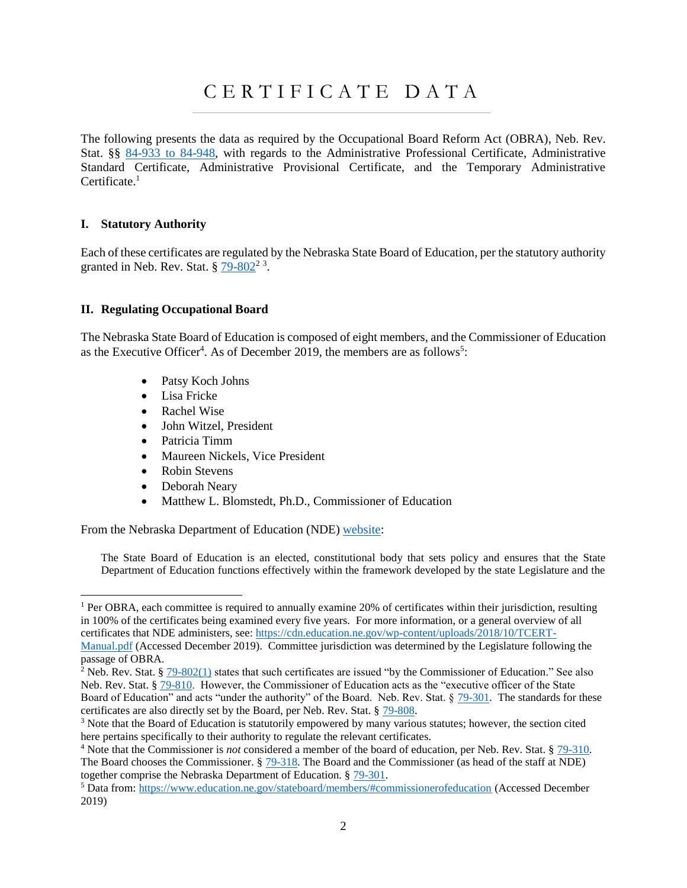## C E R T I F I C A T E D A T A

The following presents the data as required by the Occupational Board Reform Act (OBRA), Neb. Rev. Stat. §§ [84-933 to 84-948,](https://nebraskalegislature.gov/laws/display_html.php?begin_section=84-933&end_section=84-948) with regards to the Administrative Professional Certificate, Administrative Standard Certificate, Administrative Provisional Certificate, and the Temporary Administrative Certificate.<sup>1</sup>

#### <span id="page-4-0"></span>**I. Statutory Authority**

Each of these certificates are regulated by the Nebraska State Board of Education, per the statutory authority granted in Neb. Rev. Stat.  $\frac{6}{9}$   $\frac{79 - 802^2}{3}$ .

#### <span id="page-4-1"></span>**II. Regulating Occupational Board**

The Nebraska State Board of Education is composed of eight members, and the Commissioner of Education as the Executive Officer<sup>4</sup>. As of December 2019, the members are as follows<sup>5</sup>:

- Patsy Koch Johns
- Lisa Fricke
- Rachel Wise
- John Witzel, President
- Patricia Timm
- Maureen Nickels, Vice President
- Robin Stevens
- Deborah Neary

 $\overline{a}$ 

• Matthew L. Blomstedt, Ph.D., Commissioner of Education

From the Nebraska Department of Education (NDE[\) website:](https://www.education.ne.gov/stateboard/background/)

The State Board of Education is an elected, constitutional body that sets policy and ensures that the State Department of Education functions effectively within the framework developed by the state Legislature and the

<sup>1</sup> Per OBRA, each committee is required to annually examine 20% of certificates within their jurisdiction, resulting in 100% of the certificates being examined every five years. For more information, or a general overview of all certificates that NDE administers, see: [https://cdn.education.ne.gov/wp-content/uploads/2018/10/TCERT-](https://cdn.education.ne.gov/wp-content/uploads/2018/10/TCERT-Manual.pdf)

[Manual.pdf](https://cdn.education.ne.gov/wp-content/uploads/2018/10/TCERT-Manual.pdf) (Accessed December 2019). Committee jurisdiction was determined by the Legislature following the passage of OBRA.

<sup>&</sup>lt;sup>2</sup> Neb. Rev. Stat. § [79-802\(1\)](https://nebraskalegislature.gov/laws/statutes.php?statute=79-802) states that such certificates are issued "by the Commissioner of Education." See also Neb. Rev. Stat. § [79-810.](https://nebraskalegislature.gov/laws/statutes.php?statute=79-810) However, the Commissioner of Education acts as the "executive officer of the State Board of Education" and acts "under the authority" of the Board. Neb. Rev. Stat. § [79-301.](https://nebraskalegislature.gov/laws/statutes.php?statute=79-301) The standards for these certificates are also directly set by the Board, per Neb. Rev. Stat. § [79-808.](https://nebraskalegislature.gov/laws/statutes.php?statute=79-808)

<sup>&</sup>lt;sup>3</sup> Note that the Board of Education is statutorily empowered by many various statutes; however, the section cited here pertains specifically to their authority to regulate the relevant certificates.

<sup>4</sup> Note that the Commissioner is *not* considered a member of the board of education, per Neb. Rev. Stat. § [79-310.](https://nebraskalegislature.gov/laws/statutes.php?statute=79-310) The Board chooses the Commissioner. [§ 79-318.](https://nebraskalegislature.gov/laws/statutes.php?statute=79-318) The Board and the Commissioner (as head of the staff at NDE) together comprise the Nebraska Department of Education. § [79-301.](https://nebraskalegislature.gov/laws/statutes.php?statute=79-301)

<sup>5</sup> Data from:<https://www.education.ne.gov/stateboard/members/#commissionerofeducation> (Accessed December 2019)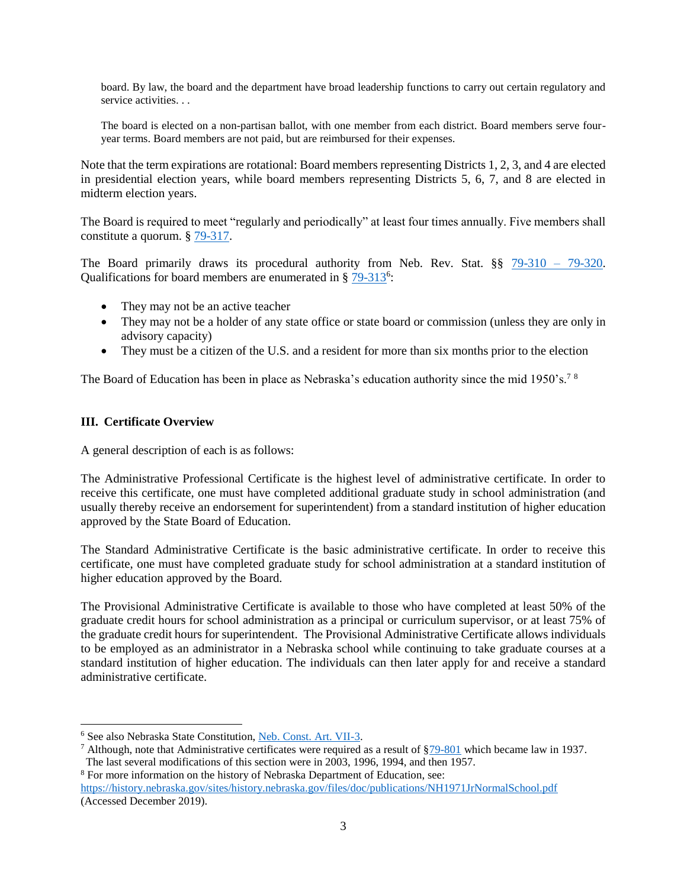board. By law, the board and the department have broad leadership functions to carry out certain regulatory and service activities. . .

The board is elected on a non-partisan ballot, with one member from each district. Board members serve fouryear terms. Board members are not paid, but are reimbursed for their expenses.

Note that the term expirations are rotational: Board members representing Districts 1, 2, 3, and 4 are elected in presidential election years, while board members representing Districts 5, 6, 7, and 8 are elected in midterm election years.

The Board is required to meet "regularly and periodically" at least four times annually. Five members shall constitute a quorum. § [79-317.](https://nebraskalegislature.gov/laws/statutes.php?statute=79-317)

The Board primarily draws its procedural authority from Neb. Rev. Stat. §§ [79-310 –](https://nebraskalegislature.gov/laws/browse-chapters.php?chapter=79) 79-320. Qualifications for board members are enumerated in § [79-313](https://nebraskalegislature.gov/laws/statutes.php?statute=79-313)<sup>6</sup>:

- They may not be an active teacher
- They may not be a holder of any state office or state board or commission (unless they are only in advisory capacity)
- They must be a citizen of the U.S. and a resident for more than six months prior to the election

The Board of Education has been in place as Nebraska's education authority since the mid 1950's.<sup>78</sup>

#### <span id="page-5-0"></span>**III. Certificate Overview**

l

A general description of each is as follows:

The Administrative Professional Certificate is the highest level of administrative certificate. In order to receive this certificate, one must have completed additional graduate study in school administration (and usually thereby receive an endorsement for superintendent) from a standard institution of higher education approved by the State Board of Education.

The Standard Administrative Certificate is the basic administrative certificate. In order to receive this certificate, one must have completed graduate study for school administration at a standard institution of higher education approved by the Board.

The Provisional Administrative Certificate is available to those who have completed at least 50% of the graduate credit hours for school administration as a principal or curriculum supervisor, or at least 75% of the graduate credit hours for superintendent. The Provisional Administrative Certificate allows individuals to be employed as an administrator in a Nebraska school while continuing to take graduate courses at a standard institution of higher education. The individuals can then later apply for and receive a standard administrative certificate.

<sup>8</sup> For more information on the history of Nebraska Department of Education, see: <https://history.nebraska.gov/sites/history.nebraska.gov/files/doc/publications/NH1971JrNormalSchool.pdf> (Accessed December 2019).

<sup>6</sup> See also Nebraska State Constitution, [Neb. Const. Art. VII-3.](https://nebraskalegislature.gov/laws/articles.php?article=VII-3)

<sup>&</sup>lt;sup>7</sup> Although, note that Administrative certificates were required as a result of  $\S79-801$  which became law in 1937. The last several modifications of this section were in 2003, 1996, 1994, and then 1957.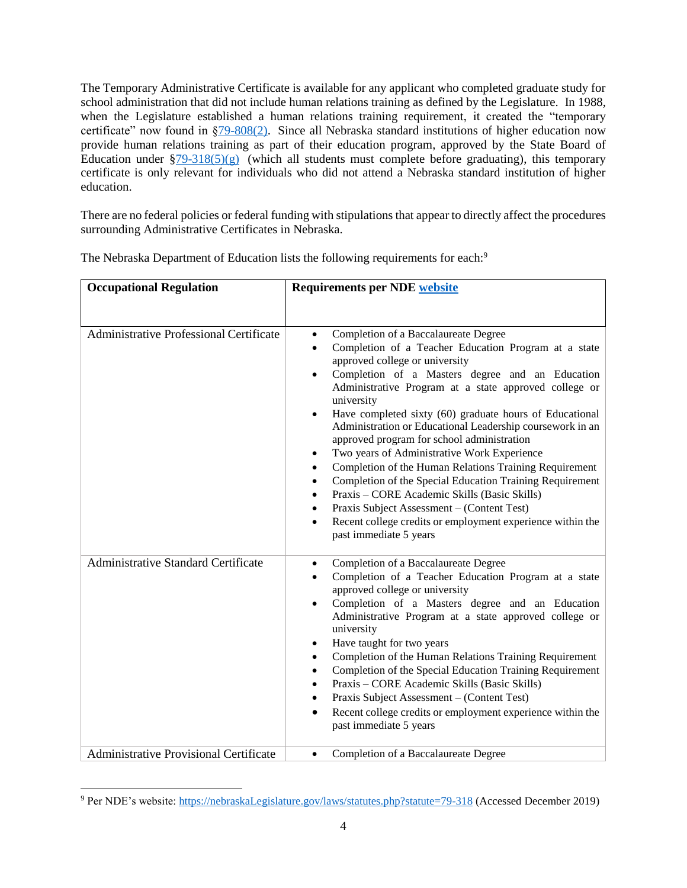The Temporary Administrative Certificate is available for any applicant who completed graduate study for school administration that did not include human relations training as defined by the Legislature. In 1988, when the Legislature established a human relations training requirement, it created the "temporary certificate" now found in [§79-808\(2\).](https://nebraskalegislature.gov/laws/statutes.php?statute=79-808) Since all Nebraska standard institutions of higher education now provide human relations training as part of their education program, approved by the State Board of Education under  $\S79-318(5)(g)$  (which all students must complete before graduating), this temporary certificate is only relevant for individuals who did not attend a Nebraska standard institution of higher education.

There are no federal policies or federal funding with stipulations that appear to directly affect the procedures surrounding Administrative Certificates in Nebraska.

| <b>Occupational Regulation</b>                 | <b>Requirements per NDE website</b>                                                                                                                                                                                                                                                                                                                                                                                                                                                                                                                                                                                                                                                                                                                                                                                                                                                               |
|------------------------------------------------|---------------------------------------------------------------------------------------------------------------------------------------------------------------------------------------------------------------------------------------------------------------------------------------------------------------------------------------------------------------------------------------------------------------------------------------------------------------------------------------------------------------------------------------------------------------------------------------------------------------------------------------------------------------------------------------------------------------------------------------------------------------------------------------------------------------------------------------------------------------------------------------------------|
|                                                |                                                                                                                                                                                                                                                                                                                                                                                                                                                                                                                                                                                                                                                                                                                                                                                                                                                                                                   |
| <b>Administrative Professional Certificate</b> | Completion of a Baccalaureate Degree<br>$\bullet$<br>Completion of a Teacher Education Program at a state<br>approved college or university<br>Completion of a Masters degree and an Education<br>Administrative Program at a state approved college or<br>university<br>Have completed sixty (60) graduate hours of Educational<br>$\bullet$<br>Administration or Educational Leadership coursework in an<br>approved program for school administration<br>Two years of Administrative Work Experience<br>$\bullet$<br>Completion of the Human Relations Training Requirement<br>$\bullet$<br>Completion of the Special Education Training Requirement<br>$\bullet$<br>Praxis – CORE Academic Skills (Basic Skills)<br>$\bullet$<br>Praxis Subject Assessment - (Content Test)<br>$\bullet$<br>Recent college credits or employment experience within the<br>$\bullet$<br>past immediate 5 years |
| <b>Administrative Standard Certificate</b>     | Completion of a Baccalaureate Degree<br>$\bullet$<br>Completion of a Teacher Education Program at a state<br>$\bullet$<br>approved college or university<br>Completion of a Masters degree and an Education<br>$\bullet$<br>Administrative Program at a state approved college or<br>university<br>Have taught for two years<br>٠<br>Completion of the Human Relations Training Requirement<br>$\bullet$<br>Completion of the Special Education Training Requirement<br>$\bullet$<br>Praxis - CORE Academic Skills (Basic Skills)<br>$\bullet$<br>Praxis Subject Assessment - (Content Test)<br>$\bullet$<br>Recent college credits or employment experience within the<br>$\bullet$<br>past immediate 5 years                                                                                                                                                                                    |
| Administrative Provisional Certificate         | Completion of a Baccalaureate Degree<br>$\bullet$                                                                                                                                                                                                                                                                                                                                                                                                                                                                                                                                                                                                                                                                                                                                                                                                                                                 |

The Nebraska Department of Education lists the following requirements for each:<sup>9</sup>

<sup>9</sup> Per NDE's website[: https://nebraskaLegislature.gov/laws/statutes.php?statute=79-318](https://nebraskalegislature.gov/laws/statutes.php?statute=79-318) (Accessed December 2019)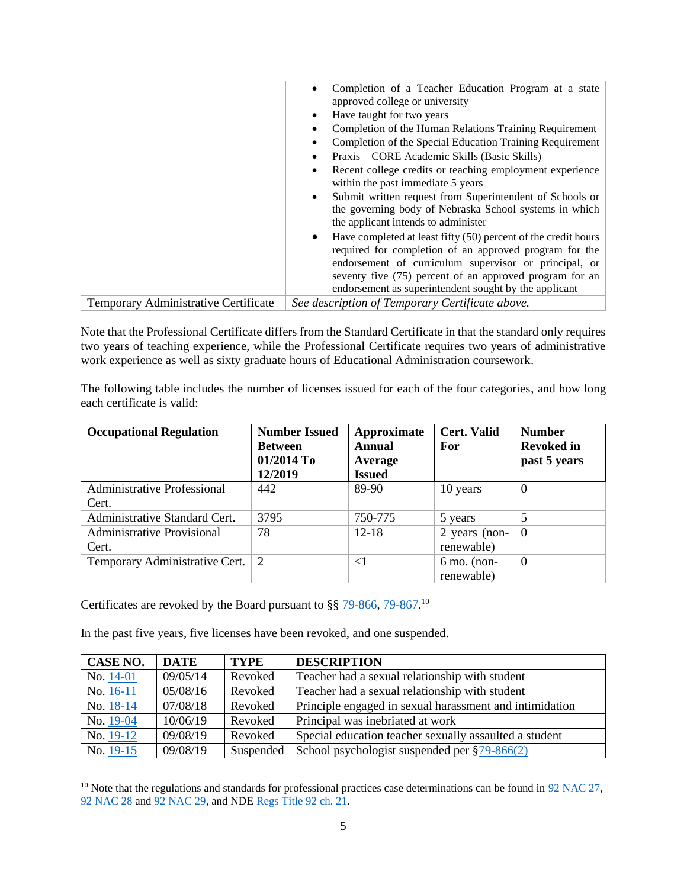|                                      | Completion of a Teacher Education Program at a state<br>approved college or university<br>Have taught for two years<br>٠<br>Completion of the Human Relations Training Requirement<br>Completion of the Special Education Training Requirement<br>Praxis – CORE Academic Skills (Basic Skills)<br>Recent college credits or teaching employment experience<br>within the past immediate 5 years<br>Submit written request from Superintendent of Schools or<br>$\bullet$<br>the governing body of Nebraska School systems in which |
|--------------------------------------|------------------------------------------------------------------------------------------------------------------------------------------------------------------------------------------------------------------------------------------------------------------------------------------------------------------------------------------------------------------------------------------------------------------------------------------------------------------------------------------------------------------------------------|
|                                      | the applicant intends to administer<br>$\bullet$                                                                                                                                                                                                                                                                                                                                                                                                                                                                                   |
|                                      | Have completed at least fifty (50) percent of the credit hours<br>required for completion of an approved program for the<br>endorsement of curriculum supervisor or principal, or<br>seventy five (75) percent of an approved program for an<br>endorsement as superintendent sought by the applicant                                                                                                                                                                                                                              |
| Temporary Administrative Certificate | See description of Temporary Certificate above.                                                                                                                                                                                                                                                                                                                                                                                                                                                                                    |

Note that the Professional Certificate differs from the Standard Certificate in that the standard only requires two years of teaching experience, while the Professional Certificate requires two years of administrative work experience as well as sixty graduate hours of Educational Administration coursework.

The following table includes the number of licenses issued for each of the four categories, and how long each certificate is valid:

| <b>Occupational Regulation</b>              | <b>Number Issued</b><br><b>Between</b><br>01/2014 To<br>12/2019 | Approximate<br><b>Annual</b><br>Average<br><b>Issued</b> | <b>Cert. Valid</b><br>For   | <b>Number</b><br><b>Revoked in</b><br>past 5 years |
|---------------------------------------------|-----------------------------------------------------------------|----------------------------------------------------------|-----------------------------|----------------------------------------------------|
| <b>Administrative Professional</b><br>Cert. | 442                                                             | 89-90                                                    | 10 years                    | $\theta$                                           |
| Administrative Standard Cert.               | 3795                                                            | 750-775                                                  | 5 years                     | 5                                                  |
| <b>Administrative Provisional</b><br>Cert.  | 78                                                              | $12 - 18$                                                | 2 years (non-<br>renewable) | $\theta$                                           |
| Temporary Administrative Cert.              | 2                                                               | $<$ 1                                                    | $6$ mo. (non-<br>renewable) | $\Omega$                                           |

Certificates are revoked by the Board pursuant to  $\S$ §  $79-866$ ,  $79-867$ .<sup>10</sup>

l

In the past five years, five licenses have been revoked, and one suspended.

| <b>CASE NO.</b> | <b>DATE</b> | <b>TYPE</b> | <b>DESCRIPTION</b>                                      |
|-----------------|-------------|-------------|---------------------------------------------------------|
| No. $14-01$     | 09/05/14    | Revoked     | Teacher had a sexual relationship with student          |
| No. 16-11       | 05/08/16    | Revoked     | Teacher had a sexual relationship with student          |
| No. 18-14       | 07/08/18    | Revoked     | Principle engaged in sexual harassment and intimidation |
| No. 19-04       | 10/06/19    | Revoked     | Principal was inebriated at work                        |
| No. 19-12       | 09/08/19    | Revoked     | Special education teacher sexually assaulted a student  |
| No. 19-15       | 09/08/19    | Suspended   | School psychologist suspended per $\S$ 79-866(2)        |

<sup>&</sup>lt;sup>10</sup> Note that the regulations and standards for professional practices case determinations can be found in  $92$  NAC 27, [92 NAC 28](https://sos.nebraska.gov/rules-and-regs/regsearch/Rules/Education_Dept_of/Title-92/Chapter-28.pdf) and [92 NAC 29,](https://sos.nebraska.gov/rules-and-regs/regsearch/Rules/Education_Dept_of/Title-92/Chapter-29.pdf) and ND[E Regs Title 92 ch. 21.](https://www.nebraska.gov/nesos/rules-and-regs/regtrack/proposals/0000000000001481.pdf)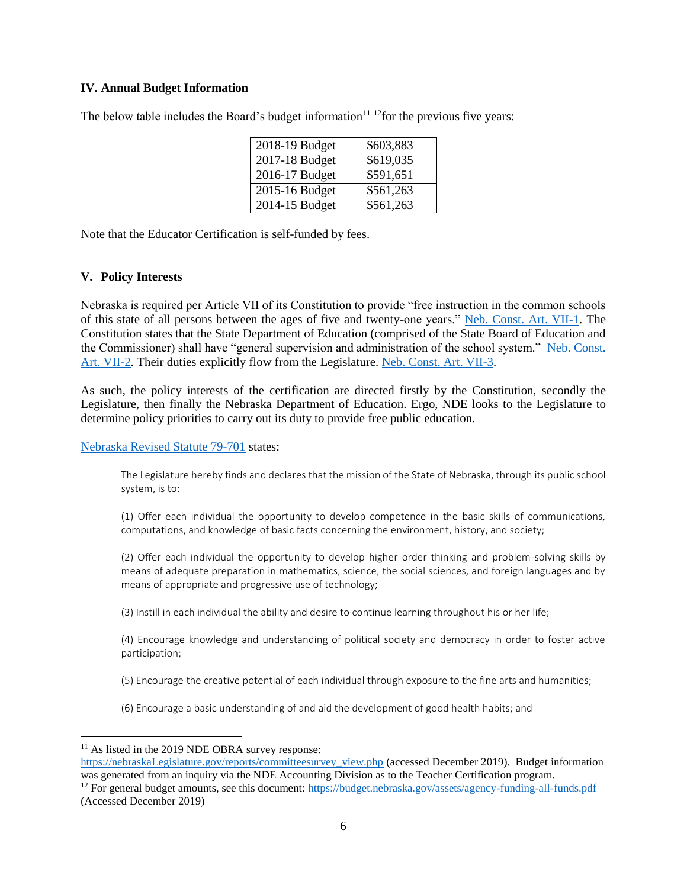#### <span id="page-8-0"></span>**IV. Annual Budget Information**

The below table includes the Board's budget information $11^{12}$  for the previous five years:

| 2018-19 Budget | \$603,883 |
|----------------|-----------|
| 2017-18 Budget | \$619,035 |
| 2016-17 Budget | \$591,651 |
| 2015-16 Budget | \$561,263 |
| 2014-15 Budget | \$561,263 |

Note that the Educator Certification is self-funded by fees.

#### <span id="page-8-1"></span>**V. Policy Interests**

Nebraska is required per Article VII of its Constitution to provide "free instruction in the common schools of this state of all persons between the ages of five and twenty-one years." [Neb. Const. Art. VII-1.](https://nebraskalegislature.gov/laws/articles.php?article=VII-1) The Constitution states that the State Department of Education (comprised of the State Board of Education and the Commissioner) shall have "general supervision and administration of the school system." [Neb. Const.](https://nebraskalegislature.gov/laws/articles.php?article=VII-2)  [Art. VII-2.](https://nebraskalegislature.gov/laws/articles.php?article=VII-2) Their duties explicitly flow from the Legislature. [Neb. Const. Art. VII-3.](https://nebraskalegislature.gov/laws/articles.php?article=VII-3)

As such, the policy interests of the certification are directed firstly by the Constitution, secondly the Legislature, then finally the Nebraska Department of Education. Ergo, NDE looks to the Legislature to determine policy priorities to carry out its duty to provide free public education.

[Nebraska Revised Statute 79-701](https://nebraskalegislature.gov/laws/statutes.php?statute=79-701) states:

The Legislature hereby finds and declares that the mission of the State of Nebraska, through its public school system, is to:

(1) Offer each individual the opportunity to develop competence in the basic skills of communications, computations, and knowledge of basic facts concerning the environment, history, and society;

(2) Offer each individual the opportunity to develop higher order thinking and problem-solving skills by means of adequate preparation in mathematics, science, the social sciences, and foreign languages and by means of appropriate and progressive use of technology;

(3) Instill in each individual the ability and desire to continue learning throughout his or her life;

(4) Encourage knowledge and understanding of political society and democracy in order to foster active participation;

(5) Encourage the creative potential of each individual through exposure to the fine arts and humanities;

(6) Encourage a basic understanding of and aid the development of good health habits; and

 $11$  As listed in the 2019 NDE OBRA survey response:

[https://nebraskaLegislature.gov/reports/committeesurvey\\_view.php](https://nebraskalegislature.gov/reports/committeesurvey_view.php) (accessed December 2019). Budget information was generated from an inquiry via the NDE Accounting Division as to the Teacher Certification program. <sup>12</sup> For general budget amounts, see this document:<https://budget.nebraska.gov/assets/agency-funding-all-funds.pdf>

<sup>(</sup>Accessed December 2019)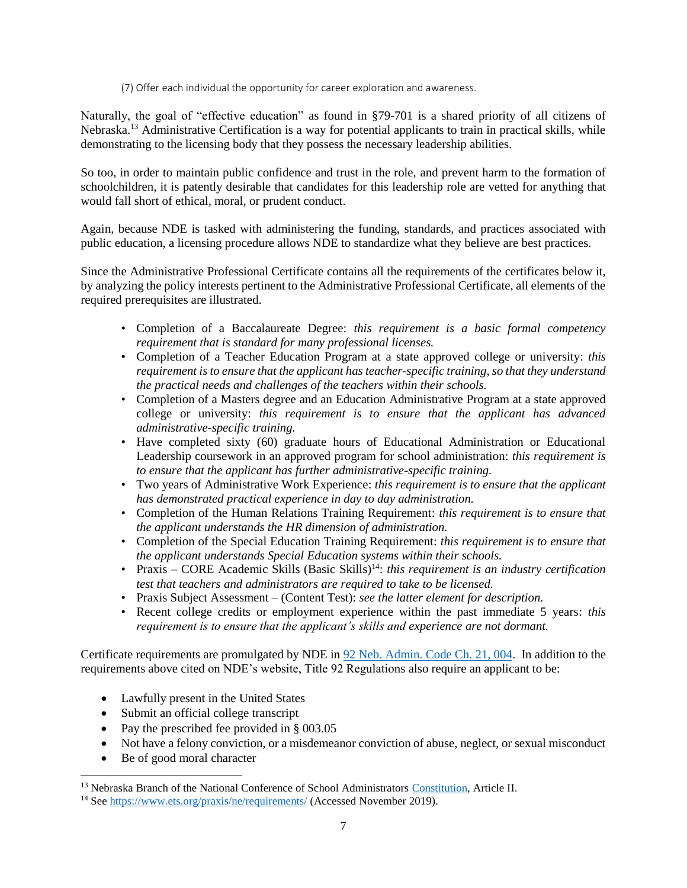(7) Offer each individual the opportunity for career exploration and awareness.

Naturally, the goal of "effective education" as found in §79-701 is a shared priority of all citizens of Nebraska.<sup>13</sup> Administrative Certification is a way for potential applicants to train in practical skills, while demonstrating to the licensing body that they possess the necessary leadership abilities.

So too, in order to maintain public confidence and trust in the role, and prevent harm to the formation of schoolchildren, it is patently desirable that candidates for this leadership role are vetted for anything that would fall short of ethical, moral, or prudent conduct.

Again, because NDE is tasked with administering the funding, standards, and practices associated with public education, a licensing procedure allows NDE to standardize what they believe are best practices.

Since the Administrative Professional Certificate contains all the requirements of the certificates below it, by analyzing the policy interests pertinent to the Administrative Professional Certificate, all elements of the required prerequisites are illustrated.

- Completion of a Baccalaureate Degree: *this requirement is a basic formal competency requirement that is standard for many professional licenses.*
- Completion of a Teacher Education Program at a state approved college or university: *this requirement is to ensure that the applicant has teacher-specific training, so that they understand the practical needs and challenges of the teachers within their schools.*
- Completion of a Masters degree and an Education Administrative Program at a state approved college or university: *this requirement is to ensure that the applicant has advanced administrative-specific training.*
- Have completed sixty (60) graduate hours of Educational Administration or Educational Leadership coursework in an approved program for school administration: *this requirement is to ensure that the applicant has further administrative-specific training.*
- Two years of Administrative Work Experience: *this requirement is to ensure that the applicant has demonstrated practical experience in day to day administration.*
- Completion of the Human Relations Training Requirement: *this requirement is to ensure that the applicant understands the HR dimension of administration.*
- Completion of the Special Education Training Requirement: *this requirement is to ensure that the applicant understands Special Education systems within their schools.*
- Praxis CORE Academic Skills (Basic Skills)<sup>14</sup>: *this requirement is an industry certification test that teachers and administrators are required to take to be licensed.*
- Praxis Subject Assessment (Content Test): *see the latter element for description.*
- Recent college credits or employment experience within the past immediate 5 years: *this requirement is to ensure that the applicant's skills and experience are not dormant.*

Certificate requirements are promulgated by NDE in [92 Neb. Admin. Code Ch. 21, 004.](https://sos.nebraska.gov/rules-and-regs/regsearch/Rules/Education_Dept_of/Title-92/Chapter-21.pdf) In addition to the requirements above cited on NDE's website, Title 92 Regulations also require an applicant to be:

- Lawfully present in the United States
- Submit an official college transcript
- Pay the prescribed fee provided in  $\S$  003.05
- Not have a felony conviction, or a misdemeanor conviction of abuse, neglect, or sexual misconduct
- Be of good moral character

<sup>&</sup>lt;sup>13</sup> Nebraska Branch of the National Conference of School Administrators [Constitution,](https://www.ncsa.org/organization-and-structure#constitution) Article II.

<sup>14</sup> See<https://www.ets.org/praxis/ne/requirements/> (Accessed November 2019).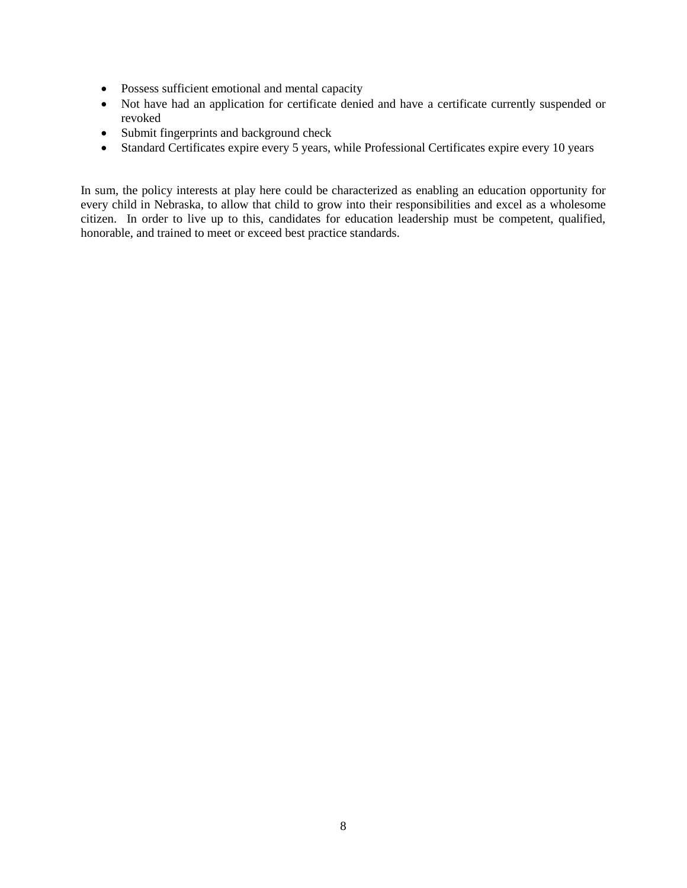- Possess sufficient emotional and mental capacity
- Not have had an application for certificate denied and have a certificate currently suspended or revoked
- Submit fingerprints and background check
- Standard Certificates expire every 5 years, while Professional Certificates expire every 10 years

In sum, the policy interests at play here could be characterized as enabling an education opportunity for every child in Nebraska, to allow that child to grow into their responsibilities and excel as a wholesome citizen. In order to live up to this, candidates for education leadership must be competent, qualified, honorable, and trained to meet or exceed best practice standards.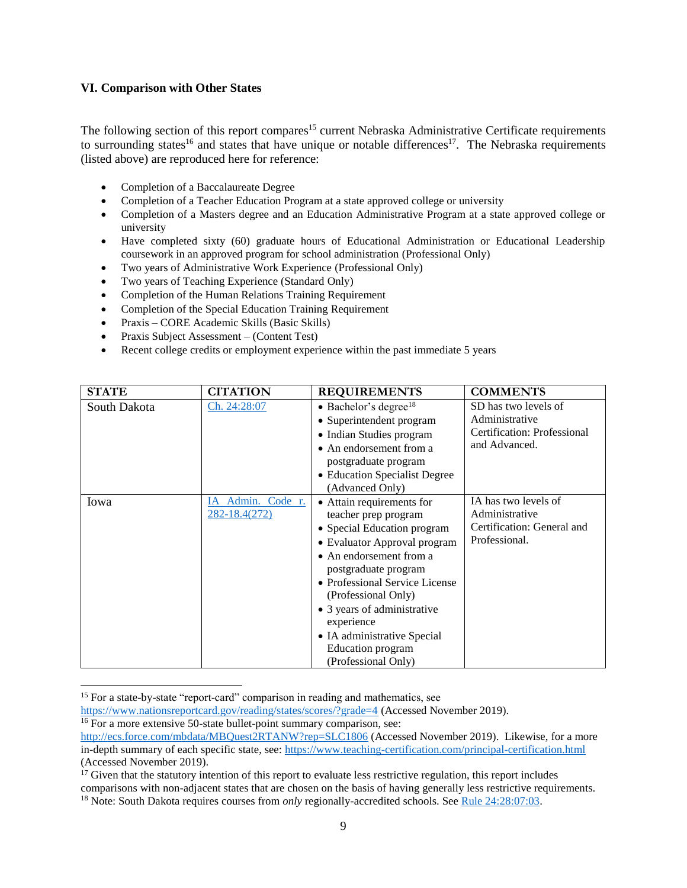#### <span id="page-11-0"></span>**VI. Comparison with Other States**

The following section of this report compares<sup>15</sup> current Nebraska Administrative Certificate requirements to surrounding states<sup>16</sup> and states that have unique or notable differences<sup>17</sup>. The Nebraska requirements (listed above) are reproduced here for reference:

- Completion of a Baccalaureate Degree
- Completion of a Teacher Education Program at a state approved college or university
- Completion of a Masters degree and an Education Administrative Program at a state approved college or university
- Have completed sixty (60) graduate hours of Educational Administration or Educational Leadership coursework in an approved program for school administration (Professional Only)
- Two years of Administrative Work Experience (Professional Only)
- Two years of Teaching Experience (Standard Only)
- Completion of the Human Relations Training Requirement
- Completion of the Special Education Training Requirement
- Praxis CORE Academic Skills (Basic Skills)
- Praxis Subject Assessment (Content Test)
- Recent college credits or employment experience within the past immediate 5 years

| <b>STATE</b> | <b>CITATION</b>                    | <b>REQUIREMENTS</b>                                                                                                                                                                                                                                                                                                                                         | <b>COMMENTS</b>                                                                        |
|--------------|------------------------------------|-------------------------------------------------------------------------------------------------------------------------------------------------------------------------------------------------------------------------------------------------------------------------------------------------------------------------------------------------------------|----------------------------------------------------------------------------------------|
| South Dakota | Ch. 24:28:07                       | $\bullet$ Bachelor's degree <sup>18</sup><br>• Superintendent program<br>• Indian Studies program<br>• An endorsement from a<br>postgraduate program<br>• Education Specialist Degree<br>(Advanced Only)                                                                                                                                                    | SD has two levels of<br>Administrative<br>Certification: Professional<br>and Advanced. |
| Iowa         | IA Admin. Code r.<br>282-18.4(272) | • Attain requirements for<br>teacher prep program<br>• Special Education program<br>• Evaluator Approval program<br>• An endorsement from a<br>postgraduate program<br>• Professional Service License<br>(Professional Only)<br>• 3 years of administrative<br>experience<br>• IA administrative Special<br><b>Education</b> program<br>(Professional Only) | IA has two levels of<br>Administrative<br>Certification: General and<br>Professional.  |

<sup>&</sup>lt;sup>15</sup> For a state-by-state "report-card" comparison in reading and mathematics, see

<https://www.nationsreportcard.gov/reading/states/scores/?grade=4> (Accessed November 2019).

 $16$  For a more extensive 50-state bullet-point summary comparison, see:

<http://ecs.force.com/mbdata/MBQuest2RTANW?rep=SLC1806> (Accessed November 2019). Likewise, for a more in-depth summary of each specific state, see:<https://www.teaching-certification.com/principal-certification.html> (Accessed November 2019).

 $17$  Given that the statutory intention of this report to evaluate less restrictive regulation, this report includes comparisons with non-adjacent states that are chosen on the basis of having generally less restrictive requirements. <sup>18</sup> Note: South Dakota requires courses from *only* regionally-accredited schools. See [Rule 24:28:07:03.](https://sdlegislature.gov/rules/DisplayRule.aspx?Rule=24:28:07:03)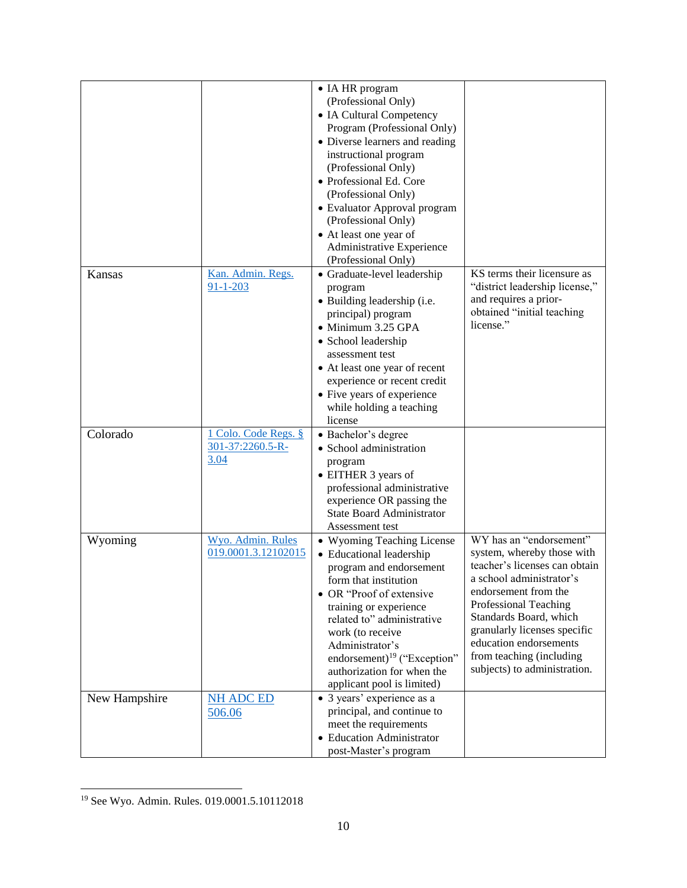|               |                                                  | • IA HR program<br>(Professional Only)<br>• IA Cultural Competency<br>Program (Professional Only)<br>• Diverse learners and reading<br>instructional program<br>(Professional Only)<br>• Professional Ed. Core<br>(Professional Only)<br>• Evaluator Approval program<br>(Professional Only)<br>• At least one year of                       |                                                                                                                                                                                                                                                                                                                     |
|---------------|--------------------------------------------------|----------------------------------------------------------------------------------------------------------------------------------------------------------------------------------------------------------------------------------------------------------------------------------------------------------------------------------------------|---------------------------------------------------------------------------------------------------------------------------------------------------------------------------------------------------------------------------------------------------------------------------------------------------------------------|
|               |                                                  | Administrative Experience<br>(Professional Only)                                                                                                                                                                                                                                                                                             |                                                                                                                                                                                                                                                                                                                     |
| Kansas        | Kan. Admin. Regs.<br>$91 - 1 - 203$              | · Graduate-level leadership<br>program<br>• Building leadership (i.e.<br>principal) program<br>· Minimum 3.25 GPA<br>• School leadership<br>assessment test<br>• At least one year of recent<br>experience or recent credit<br>• Five years of experience<br>while holding a teaching<br>license                                             | KS terms their licensure as<br>"district leadership license,"<br>and requires a prior-<br>obtained "initial teaching<br>license."                                                                                                                                                                                   |
| Colorado      | 1 Colo. Code Regs. §<br>301-37:2260.5-R-<br>3.04 | · Bachelor's degree<br>· School administration<br>program<br>• EITHER 3 years of<br>professional administrative<br>experience OR passing the<br><b>State Board Administrator</b><br>Assessment test                                                                                                                                          |                                                                                                                                                                                                                                                                                                                     |
| Wyoming       | Wyo. Admin. Rules<br>019.0001.3.12102015         | • Wyoming Teaching License<br>• Educational leadership<br>program and endorsement<br>form that institution<br>• OR "Proof of extensive<br>training or experience<br>related to" administrative<br>work (to receive<br>Administrator's<br>endorsement) <sup>19</sup> ("Exception"<br>authorization for when the<br>applicant pool is limited) | WY has an "endorsement"<br>system, whereby those with<br>teacher's licenses can obtain<br>a school administrator's<br>endorsement from the<br>Professional Teaching<br>Standards Board, which<br>granularly licenses specific<br>education endorsements<br>from teaching (including<br>subjects) to administration. |
| New Hampshire | <b>NH ADC ED</b><br>506.06                       | • 3 years' experience as a<br>principal, and continue to<br>meet the requirements<br>• Education Administrator<br>post-Master's program                                                                                                                                                                                                      |                                                                                                                                                                                                                                                                                                                     |

 $\overline{\phantom{a}}$ <sup>19</sup> See Wyo. Admin. Rules. 019.0001.5.10112018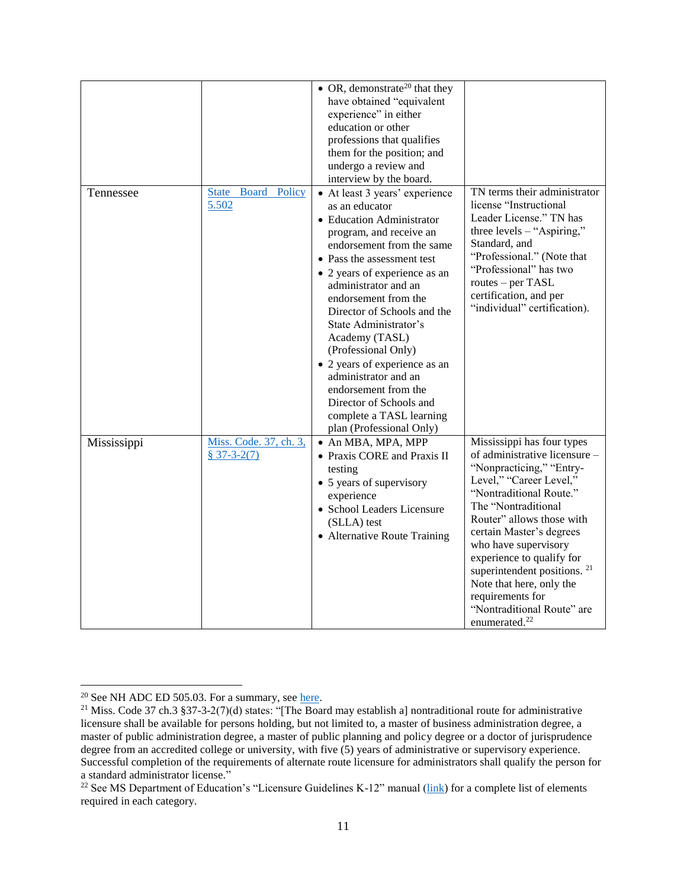|             |                                              | • OR, demonstrate <sup>20</sup> that they<br>have obtained "equivalent<br>experience" in either<br>education or other<br>professions that qualifies<br>them for the position; and<br>undergo a review and<br>interview by the board.                                                                                                                                                                                                                                                                                      |                                                                                                                                                                                                                                                                                                                                                                                                                                          |
|-------------|----------------------------------------------|---------------------------------------------------------------------------------------------------------------------------------------------------------------------------------------------------------------------------------------------------------------------------------------------------------------------------------------------------------------------------------------------------------------------------------------------------------------------------------------------------------------------------|------------------------------------------------------------------------------------------------------------------------------------------------------------------------------------------------------------------------------------------------------------------------------------------------------------------------------------------------------------------------------------------------------------------------------------------|
| Tennessee   | <b>Board Policy</b><br><b>State</b><br>5.502 | • At least 3 years' experience<br>as an educator<br>• Education Administrator<br>program, and receive an<br>endorsement from the same<br>• Pass the assessment test<br>• 2 years of experience as an<br>administrator and an<br>endorsement from the<br>Director of Schools and the<br>State Administrator's<br>Academy (TASL)<br>(Professional Only)<br>• 2 years of experience as an<br>administrator and an<br>endorsement from the<br>Director of Schools and<br>complete a TASL learning<br>plan (Professional Only) | TN terms their administrator<br>license "Instructional<br>Leader License." TN has<br>three levels $-$ "Aspiring,"<br>Standard, and<br>"Professional." (Note that<br>"Professional" has two<br>routes – per TASL<br>certification, and per<br>"individual" certification).                                                                                                                                                                |
| Mississippi | Miss. Code. 37, ch. 3,<br>$$37-3-2(7)$       | • An MBA, MPA, MPP<br>• Praxis CORE and Praxis II<br>testing<br>• 5 years of supervisory<br>experience<br>· School Leaders Licensure<br>(SLLA) test<br>• Alternative Route Training                                                                                                                                                                                                                                                                                                                                       | Mississippi has four types<br>of administrative licensure -<br>"Nonpracticing," "Entry-<br>Level," "Career Level,"<br>"Nontraditional Route."<br>The "Nontraditional<br>Router" allows those with<br>certain Master's degrees<br>who have supervisory<br>experience to qualify for<br>superintendent positions. <sup>21</sup><br>Note that here, only the<br>requirements for<br>"Nontraditional Route" are<br>enumerated. <sup>22</sup> |

l <sup>20</sup> See NH ADC ED 505.03. For a summary, see [here.](https://www.nhes.nh.gov/elmi/products/licertocc/documents/eduadmin.pdf)

<sup>&</sup>lt;sup>21</sup> Miss. Code 37 ch.3 §37-3-2(7)(d) states: "[The Board may establish a] nontraditional route for administrative licensure shall be available for persons holding, but not limited to, a master of business administration degree, a master of public administration degree, a master of public planning and policy degree or a doctor of jurisprudence degree from an accredited college or university, with five (5) years of administrative or supervisory experience. Successful completion of the requirements of alternate route licensure for administrators shall qualify the person for a standard administrator license."

<sup>&</sup>lt;sup>22</sup> See MS Department of Education's "Licensure Guidelines K-12" manual [\(link\)](https://sos.ms.gov/ACProposed/00021910b.pdf) for a complete list of elements required in each category.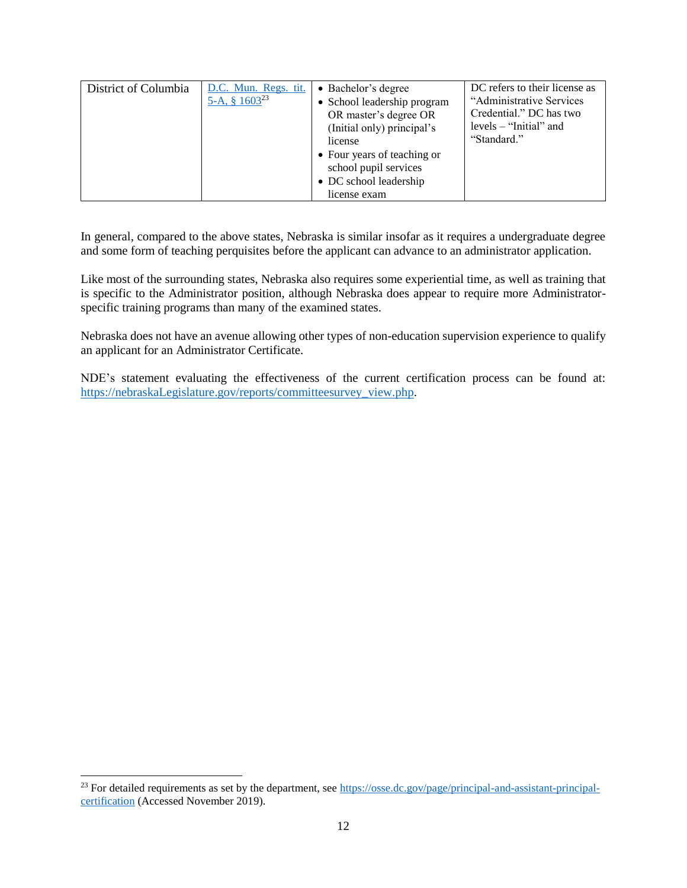| District of Columbia | D.C. Mun. Regs. tit.<br>5-A, § $1603^{23}$ | • Bachelor's degree<br>• School leadership program<br>OR master's degree OR<br>(Initial only) principal's<br>license<br>• Four years of teaching or<br>school pupil services | DC refers to their license as<br>"Administrative Services"<br>Credential." DC has two<br>$levels - "Initial"$ and<br>"Standard." |
|----------------------|--------------------------------------------|------------------------------------------------------------------------------------------------------------------------------------------------------------------------------|----------------------------------------------------------------------------------------------------------------------------------|
|                      |                                            | • DC school leadership                                                                                                                                                       |                                                                                                                                  |
|                      |                                            | license exam                                                                                                                                                                 |                                                                                                                                  |

In general, compared to the above states, Nebraska is similar insofar as it requires a undergraduate degree and some form of teaching perquisites before the applicant can advance to an administrator application.

Like most of the surrounding states, Nebraska also requires some experiential time, as well as training that is specific to the Administrator position, although Nebraska does appear to require more Administratorspecific training programs than many of the examined states.

Nebraska does not have an avenue allowing other types of non-education supervision experience to qualify an applicant for an Administrator Certificate.

NDE's statement evaluating the effectiveness of the current certification process can be found at: [https://nebraskaLegislature.gov/reports/committeesurvey\\_view.php.](https://nebraskalegislature.gov/reports/committeesurvey_view.php)

<sup>&</sup>lt;sup>23</sup> For detailed requirements as set by the department, see [https://osse.dc.gov/page/principal-and-assistant-principal](https://osse.dc.gov/page/principal-and-assistant-principal-certification)[certification](https://osse.dc.gov/page/principal-and-assistant-principal-certification) (Accessed November 2019).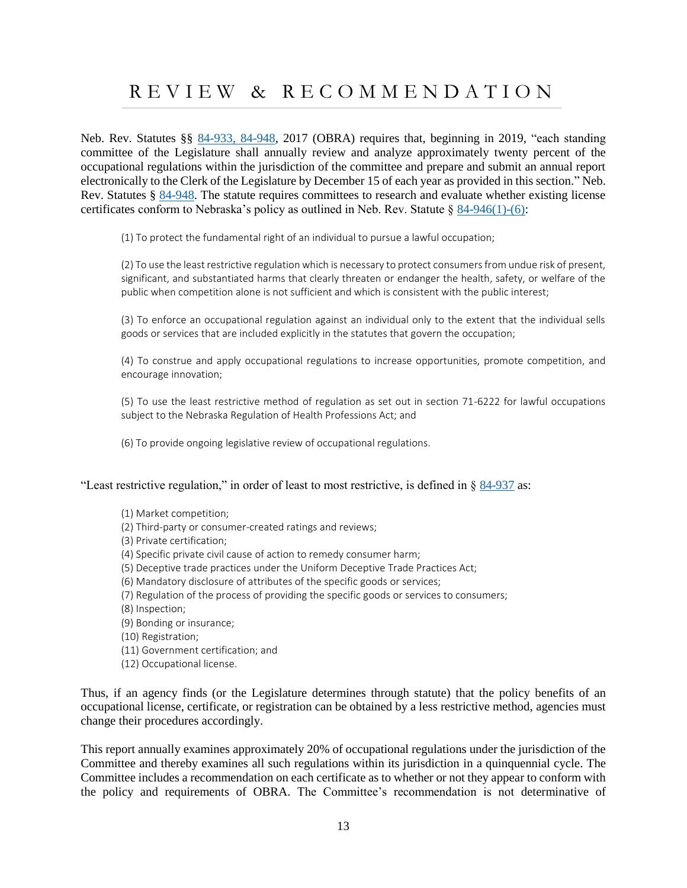## <span id="page-15-0"></span>R E V I E W & R E C O M M E N D A T I O N

Neb. Rev. Statutes §§ [84-933,](https://nebraskalegislature.gov/laws/display_html.php?begin_section=84-933&end_section=84-948) 84-948, 2017 (OBRA) requires that, beginning in 2019, "each standing committee of the Legislature shall annually review and analyze approximately twenty percent of the occupational regulations within the jurisdiction of the committee and prepare and submit an annual report electronically to the Clerk of the Legislature by December 15 of each year as provided in this section." Neb. Rev. Statutes § [84-948.](https://nebraskalegislature.gov/laws/statutes.php?statute=84-948) The statute requires committees to research and evaluate whether existing license certificates conform to Nebraska's policy as outlined in Neb. Rev. Statute  $\S$  [84-946\(1\)-\(6\):](https://nebraskalegislature.gov/laws/statutes.php?statute=84-946)

(1) To protect the fundamental right of an individual to pursue a lawful occupation;

(2) To use the least restrictive regulation which is necessary to protect consumers from undue risk of present, significant, and substantiated harms that clearly threaten or endanger the health, safety, or welfare of the public when competition alone is not sufficient and which is consistent with the public interest;

(3) To enforce an occupational regulation against an individual only to the extent that the individual sells goods or services that are included explicitly in the statutes that govern the occupation;

(4) To construe and apply occupational regulations to increase opportunities, promote competition, and encourage innovation;

(5) To use the least restrictive method of regulation as set out in section 71-6222 for lawful occupations subject to the Nebraska Regulation of Health Professions Act; and

(6) To provide ongoing legislative review of occupational regulations.

"Least restrictive regulation," in order of least to most restrictive, is defined in § [84-937](https://nebraskalegislature.gov/laws/statutes.php?statute=84-937) as:

- (1) Market competition;
- (2) Third-party or consumer-created ratings and reviews;
- (3) Private certification;
- (4) Specific private civil cause of action to remedy consumer harm;
- (5) Deceptive trade practices under the Uniform Deceptive Trade Practices Act;
- (6) Mandatory disclosure of attributes of the specific goods or services;
- (7) Regulation of the process of providing the specific goods or services to consumers;
- (8) Inspection;
- (9) Bonding or insurance;
- (10) Registration;
- (11) Government certification; and
- (12) Occupational license.

Thus, if an agency finds (or the Legislature determines through statute) that the policy benefits of an occupational license, certificate, or registration can be obtained by a less restrictive method, agencies must change their procedures accordingly.

This report annually examines approximately 20% of occupational regulations under the jurisdiction of the Committee and thereby examines all such regulations within its jurisdiction in a quinquennial cycle. The Committee includes a recommendation on each certificate as to whether or not they appear to conform with the policy and requirements of OBRA. The Committee's recommendation is not determinative of